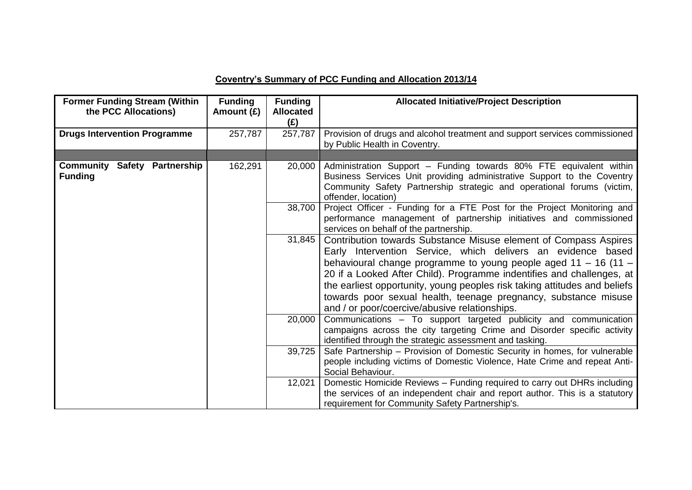## **Coventry's Summary of PCC Funding and Allocation 2013/14**

| <b>Former Funding Stream (Within</b><br>the PCC Allocations) | <b>Funding</b><br>Amount (£) | <b>Funding</b><br><b>Allocated</b><br>(E) | <b>Allocated Initiative/Project Description</b>                                                                                                                                                                                                                                                                                                                                                                                                                                 |
|--------------------------------------------------------------|------------------------------|-------------------------------------------|---------------------------------------------------------------------------------------------------------------------------------------------------------------------------------------------------------------------------------------------------------------------------------------------------------------------------------------------------------------------------------------------------------------------------------------------------------------------------------|
| <b>Drugs Intervention Programme</b>                          | 257,787                      | 257,787                                   | Provision of drugs and alcohol treatment and support services commissioned<br>by Public Health in Coventry.                                                                                                                                                                                                                                                                                                                                                                     |
|                                                              |                              |                                           |                                                                                                                                                                                                                                                                                                                                                                                                                                                                                 |
| <b>Community Safety Partnership</b><br><b>Funding</b>        | 162,291                      | 20,000                                    | Administration Support - Funding towards 80% FTE equivalent within<br>Business Services Unit providing administrative Support to the Coventry<br>Community Safety Partnership strategic and operational forums (victim,<br>offender, location)                                                                                                                                                                                                                                  |
|                                                              |                              | 38,700                                    | Project Officer - Funding for a FTE Post for the Project Monitoring and<br>performance management of partnership initiatives and commissioned<br>services on behalf of the partnership.                                                                                                                                                                                                                                                                                         |
|                                                              |                              | 31,845                                    | Contribution towards Substance Misuse element of Compass Aspires<br>Early Intervention Service, which delivers an evidence based<br>behavioural change programme to young people aged $11 - 16$ (11 –<br>20 if a Looked After Child). Programme indentifies and challenges, at<br>the earliest opportunity, young peoples risk taking attitudes and beliefs<br>towards poor sexual health, teenage pregnancy, substance misuse<br>and / or poor/coercive/abusive relationships. |
|                                                              |                              | 20,000                                    | Communications - To support targeted publicity and communication<br>campaigns across the city targeting Crime and Disorder specific activity<br>identified through the strategic assessment and tasking.                                                                                                                                                                                                                                                                        |
|                                                              |                              | 39,725                                    | Safe Partnership - Provision of Domestic Security in homes, for vulnerable<br>people including victims of Domestic Violence, Hate Crime and repeat Anti-<br>Social Behaviour.                                                                                                                                                                                                                                                                                                   |
|                                                              |                              | 12,021                                    | Domestic Homicide Reviews - Funding required to carry out DHRs including<br>the services of an independent chair and report author. This is a statutory<br>requirement for Community Safety Partnership's.                                                                                                                                                                                                                                                                      |